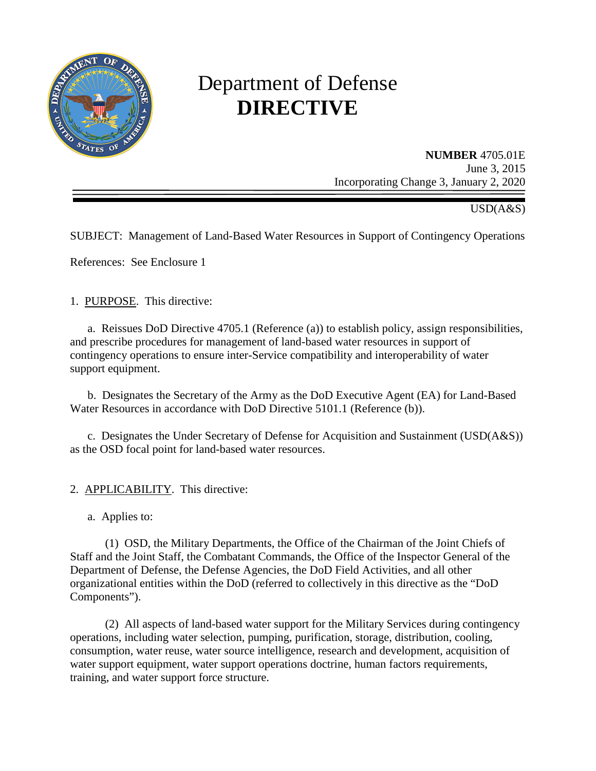

# Department of Defense **DIRECTIVE**

**NUMBER** 4705.01E June 3, 2015 Incorporating Change 3, January 2, 2020

USD(A&S)

SUBJECT: Management of Land-Based Water Resources in Support of Contingency Operations

References: See Enclosure 1

1. PURPOSE. This directive:

a. Reissues DoD Directive 4705.1 (Reference (a)) to establish policy, assign responsibilities, and prescribe procedures for management of land-based water resources in support of contingency operations to ensure inter-Service compatibility and interoperability of water support equipment.

 b. Designates the Secretary of the Army as the DoD Executive Agent (EA) for Land-Based Water Resources in accordance with DoD Directive 5101.1 (Reference (b)).

c. Designates the Under Secretary of Defense for Acquisition and Sustainment (USD(A&S)) as the OSD focal point for land-based water resources.

- 2. APPLICABILITY. This directive:
	- a. Applies to:

 (1) OSD, the Military Departments, the Office of the Chairman of the Joint Chiefs of Staff and the Joint Staff, the Combatant Commands, the Office of the Inspector General of the Department of Defense, the Defense Agencies, the DoD Field Activities, and all other organizational entities within the DoD (referred to collectively in this directive as the "DoD Components").

 (2) All aspects of land-based water support for the Military Services during contingency operations, including water selection, pumping, purification, storage, distribution, cooling, consumption, water reuse, water source intelligence, research and development, acquisition of water support equipment, water support operations doctrine, human factors requirements, training, and water support force structure.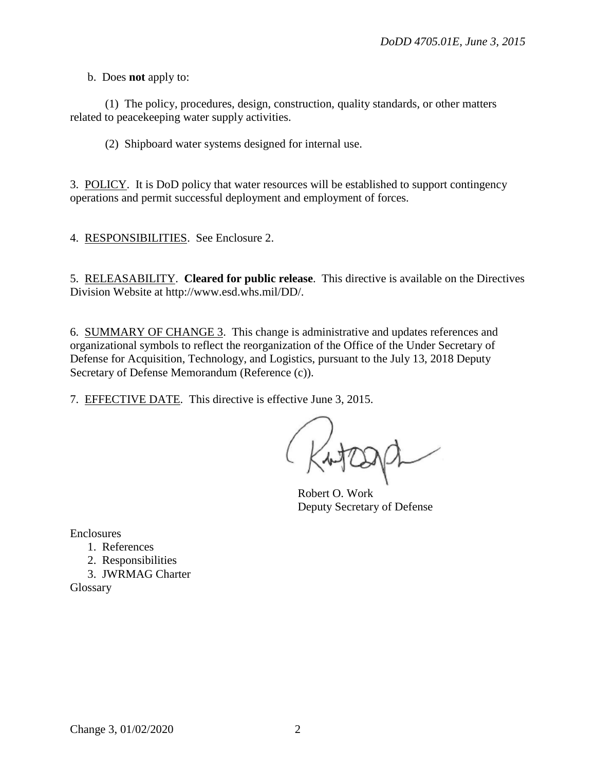b. Does **not** apply to:

 (1) The policy, procedures, design, construction, quality standards, or other matters related to peacekeeping water supply activities.

(2) Shipboard water systems designed for internal use.

3. POLICY. It is DoD policy that water resources will be established to support contingency operations and permit successful deployment and employment of forces.

4. RESPONSIBILITIES. See Enclosure 2.

5. RELEASABILITY. **Cleared for public release**. This directive is available on the Directives Division Website at http://www.esd.whs.mil/DD/.

6. SUMMARY OF CHANGE 3. This change is administrative and updates references and organizational symbols to reflect the reorganization of the Office of the Under Secretary of Defense for Acquisition, Technology, and Logistics, pursuant to the July 13, 2018 Deputy Secretary of Defense Memorandum (Reference (c)).

7. EFFECTIVE DATE. This directive is effective June 3, 2015.

Kutaga

Robert O. Work Deputy Secretary of Defense

Enclosures

- 1. References
- 2. Responsibilities
- 3. JWRMAG Charter

Glossary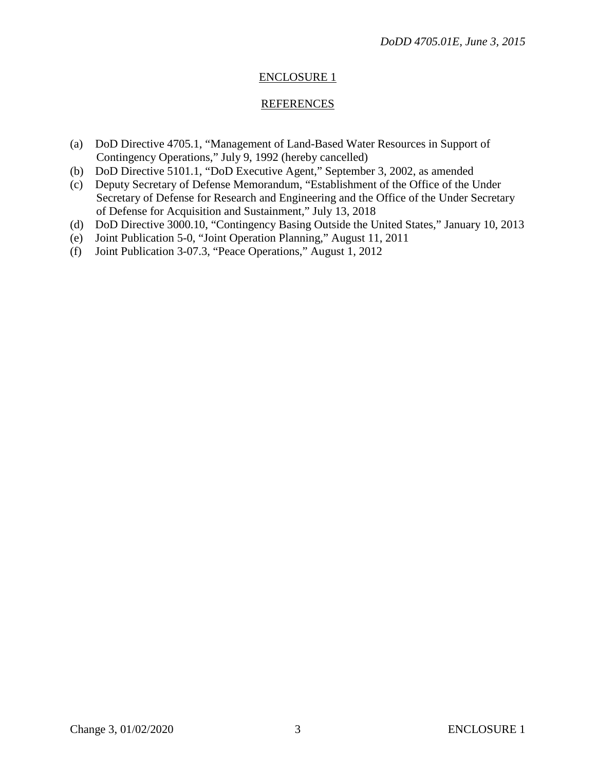# ENCLOSURE 1

## REFERENCES

- (a) DoD Directive 4705.1, "Management of Land-Based Water Resources in Support of Contingency Operations," July 9, 1992 (hereby cancelled)
- (b) DoD Directive 5101.1, "DoD Executive Agent," September 3, 2002, as amended
- (c) Deputy Secretary of Defense Memorandum, "Establishment of the Office of the Under Secretary of Defense for Research and Engineering and the Office of the Under Secretary of Defense for Acquisition and Sustainment," July 13, 2018
- (d) DoD Directive 3000.10, "Contingency Basing Outside the United States," January 10, 2013
- (e) Joint Publication 5-0, "Joint Operation Planning," August 11, 2011
- (f) Joint Publication 3-07.3, "Peace Operations," August 1, 2012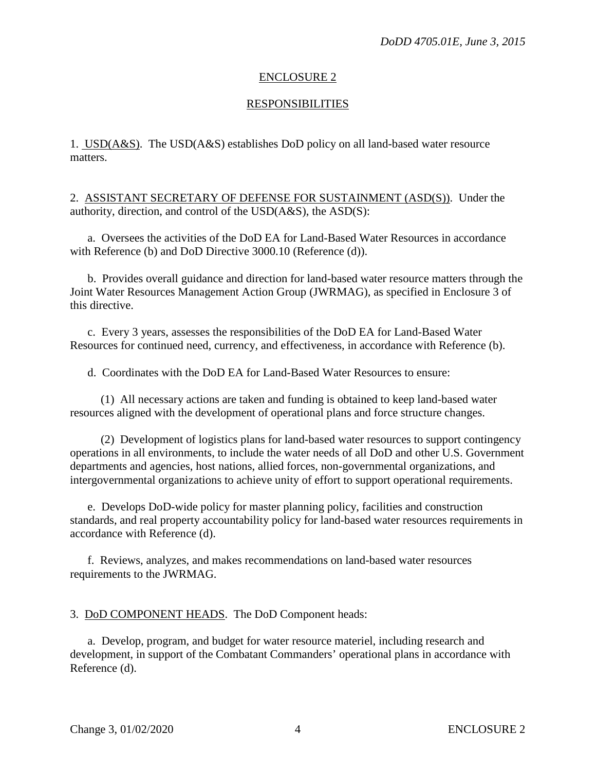## ENCLOSURE 2

## **RESPONSIBILITIES**

1. USD(A&S). The USD(A&S) establishes DoD policy on all land-based water resource matters.

2. ASSISTANT SECRETARY OF DEFENSE FOR SUSTAINMENT (ASD(S)). Under the authority, direction, and control of the USD(A&S), the ASD(S):

a. Oversees the activities of the DoD EA for Land-Based Water Resources in accordance with Reference (b) and DoD Directive 3000.10 (Reference (d)).

b. Provides overall guidance and direction for land-based water resource matters through the Joint Water Resources Management Action Group (JWRMAG), as specified in Enclosure 3 of this directive.

c. Every 3 years, assesses the responsibilities of the DoD EA for Land-Based Water Resources for continued need, currency, and effectiveness, in accordance with Reference (b).

d. Coordinates with the DoD EA for Land-Based Water Resources to ensure:

(1) All necessary actions are taken and funding is obtained to keep land-based water resources aligned with the development of operational plans and force structure changes.

(2) Development of logistics plans for land-based water resources to support contingency operations in all environments, to include the water needs of all DoD and other U.S. Government departments and agencies, host nations, allied forces, non-governmental organizations, and intergovernmental organizations to achieve unity of effort to support operational requirements.

e. Develops DoD-wide policy for master planning policy, facilities and construction standards, and real property accountability policy for land-based water resources requirements in accordance with Reference (d).

f. Reviews, analyzes, and makes recommendations on land-based water resources requirements to the JWRMAG.

3. DoD COMPONENT HEADS. The DoD Component heads:

a. Develop, program, and budget for water resource materiel, including research and development, in support of the Combatant Commanders' operational plans in accordance with Reference (d).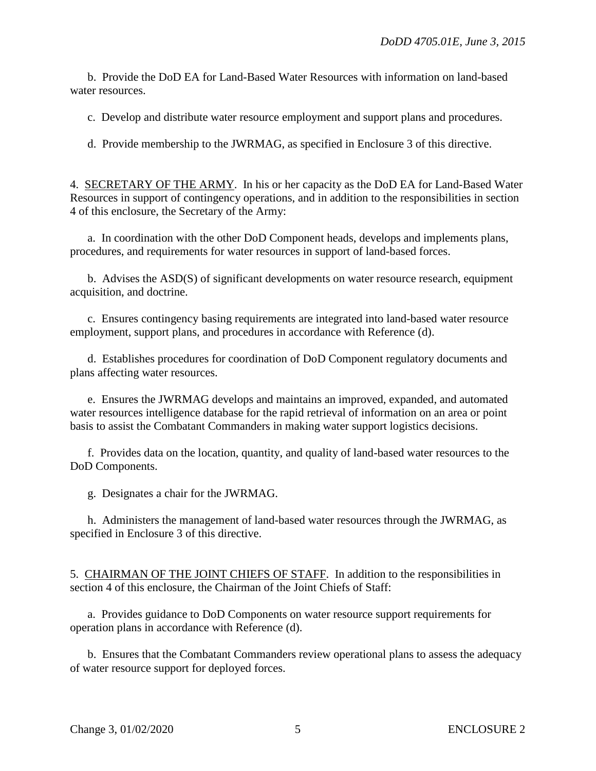b. Provide the DoD EA for Land-Based Water Resources with information on land-based water resources.

c. Develop and distribute water resource employment and support plans and procedures.

d. Provide membership to the JWRMAG, as specified in Enclosure 3 of this directive.

4. SECRETARY OF THE ARMY. In his or her capacity as the DoD EA for Land-Based Water Resources in support of contingency operations, and in addition to the responsibilities in section 4 of this enclosure, the Secretary of the Army:

a. In coordination with the other DoD Component heads, develops and implements plans, procedures, and requirements for water resources in support of land-based forces.

b. Advises the ASD(S) of significant developments on water resource research, equipment acquisition, and doctrine.

c. Ensures contingency basing requirements are integrated into land-based water resource employment, support plans, and procedures in accordance with Reference (d).

d. Establishes procedures for coordination of DoD Component regulatory documents and plans affecting water resources.

e. Ensures the JWRMAG develops and maintains an improved, expanded, and automated water resources intelligence database for the rapid retrieval of information on an area or point basis to assist the Combatant Commanders in making water support logistics decisions.

f. Provides data on the location, quantity, and quality of land-based water resources to the DoD Components.

g. Designates a chair for the JWRMAG.

h. Administers the management of land-based water resources through the JWRMAG, as specified in Enclosure 3 of this directive.

5. CHAIRMAN OF THE JOINT CHIEFS OF STAFF. In addition to the responsibilities in section 4 of this enclosure, the Chairman of the Joint Chiefs of Staff:

a. Provides guidance to DoD Components on water resource support requirements for operation plans in accordance with Reference (d).

b. Ensures that the Combatant Commanders review operational plans to assess the adequacy of water resource support for deployed forces.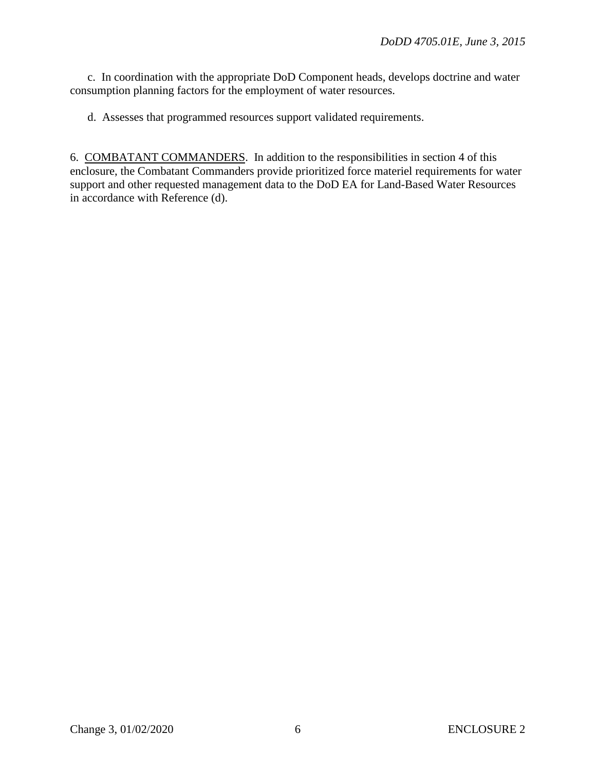c. In coordination with the appropriate DoD Component heads, develops doctrine and water consumption planning factors for the employment of water resources.

d. Assesses that programmed resources support validated requirements.

6. COMBATANT COMMANDERS. In addition to the responsibilities in section 4 of this enclosure, the Combatant Commanders provide prioritized force materiel requirements for water support and other requested management data to the DoD EA for Land-Based Water Resources in accordance with Reference (d).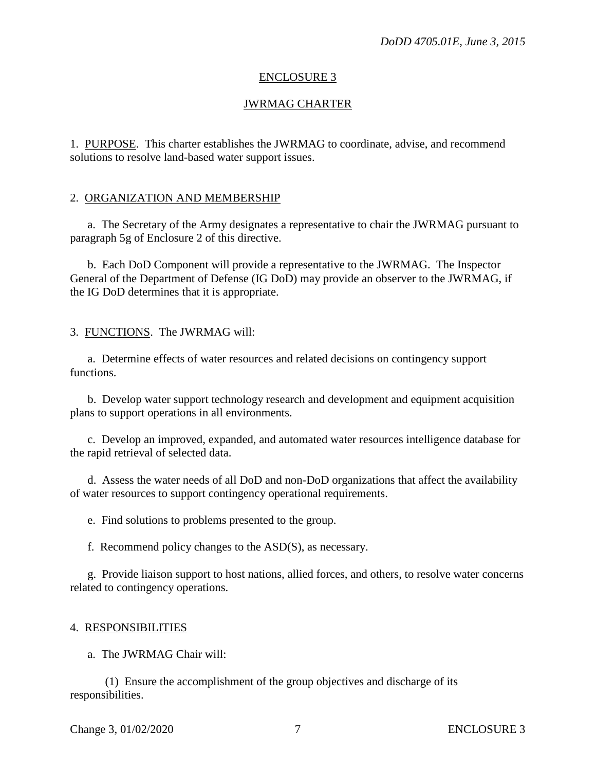#### ENCLOSURE 3

### JWRMAG CHARTER

1. PURPOSE. This charter establishes the JWRMAG to coordinate, advise, and recommend solutions to resolve land-based water support issues.

#### 2. ORGANIZATION AND MEMBERSHIP

a. The Secretary of the Army designates a representative to chair the JWRMAG pursuant to paragraph 5g of Enclosure 2 of this directive.

b. Each DoD Component will provide a representative to the JWRMAG. The Inspector General of the Department of Defense (IG DoD) may provide an observer to the JWRMAG, if the IG DoD determines that it is appropriate.

3. FUNCTIONS. The JWRMAG will:

a. Determine effects of water resources and related decisions on contingency support functions.

b. Develop water support technology research and development and equipment acquisition plans to support operations in all environments.

c. Develop an improved, expanded, and automated water resources intelligence database for the rapid retrieval of selected data.

d. Assess the water needs of all DoD and non-DoD organizations that affect the availability of water resources to support contingency operational requirements.

e. Find solutions to problems presented to the group.

f. Recommend policy changes to the ASD(S), as necessary.

g. Provide liaison support to host nations, allied forces, and others, to resolve water concerns related to contingency operations.

#### 4. RESPONSIBILITIES

a. The JWRMAG Chair will:

(1) Ensure the accomplishment of the group objectives and discharge of its responsibilities.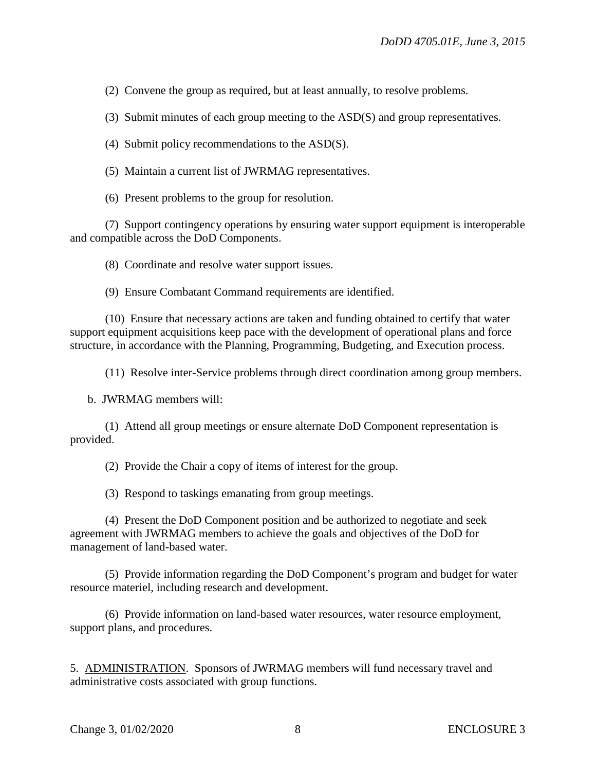(2) Convene the group as required, but at least annually, to resolve problems.

(3) Submit minutes of each group meeting to the ASD(S) and group representatives.

(4) Submit policy recommendations to the ASD(S).

(5) Maintain a current list of JWRMAG representatives.

(6) Present problems to the group for resolution.

(7) Support contingency operations by ensuring water support equipment is interoperable and compatible across the DoD Components.

(8) Coordinate and resolve water support issues.

(9) Ensure Combatant Command requirements are identified.

(10) Ensure that necessary actions are taken and funding obtained to certify that water support equipment acquisitions keep pace with the development of operational plans and force structure, in accordance with the Planning, Programming, Budgeting, and Execution process.

(11) Resolve inter-Service problems through direct coordination among group members.

b. JWRMAG members will:

(1) Attend all group meetings or ensure alternate DoD Component representation is provided.

(2) Provide the Chair a copy of items of interest for the group.

(3) Respond to taskings emanating from group meetings.

(4) Present the DoD Component position and be authorized to negotiate and seek agreement with JWRMAG members to achieve the goals and objectives of the DoD for management of land-based water.

(5) Provide information regarding the DoD Component's program and budget for water resource materiel, including research and development.

(6) Provide information on land-based water resources, water resource employment, support plans, and procedures.

5. ADMINISTRATION. Sponsors of JWRMAG members will fund necessary travel and administrative costs associated with group functions.